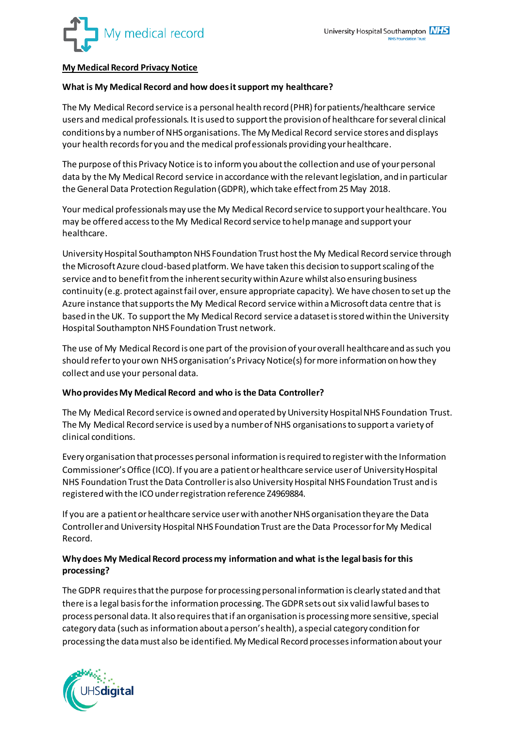

# **My Medical Record Privacy Notice**

## **What is My Medical Record and how does it support my healthcare?**

The My Medical Record service is a personal health record (PHR) for patients/healthcare service users and medical professionals. It is used to support the provision of healthcare for several clinical conditions by a number of NHS organisations. The My Medical Record service stores and displays your health records for you and the medical professionals providing your healthcare.

The purpose of this Privacy Notice is to inform you about the collection and use of your personal data by the My Medical Record service in accordance with the relevant legislation, and in particular the General Data Protection Regulation (GDPR), which take effect from 25 May 2018.

Your medical professionals may use the My Medical Record service to support your healthcare. You may be offered access to the My Medical Record service to help manage and support your healthcare.

University Hospital Southampton NHS Foundation Trust host the My Medical Record service through the Microsoft Azure cloud-based platform. We have taken this decision to support scaling of the service and to benefit from the inherent security within Azure whilst also ensuring business continuity (e.g. protect against fail over, ensure appropriate capacity). We have chosen to set up the Azure instance that supports the My Medical Record service within a Microsoft data centre that is based in the UK. To support the My Medical Record service a dataset is stored within the University Hospital Southampton NHS Foundation Trust network.

The use of My Medical Record is one part of the provision of your overall healthcare and as such you should refer to your own NHS organisation's Privacy Notice(s) for more information on how they collect and use your personal data.

### **Who provides My Medical Record and who is the Data Controller?**

The My Medical Record service is owned and operated by University Hospital NHS Foundation Trust. The My Medical Record service is used by a number of NHS organisations to support a variety of clinical conditions.

Every organisation that processes personal information is required to register with the Information Commissioner's Office (ICO). If you are a patient or healthcare service user of University Hospital NHS Foundation Trust the Data Controller is also University Hospital NHS Foundation Trust and is registered with the ICO under registration reference Z4969884.

If you are a patient or healthcare service userwith another NHS organisation they are the Data Controller and University Hospital NHS Foundation Trust are the Data Processor for My Medical Record.

## **Why does My Medical Record process my information and what is the legal basis for this processing?**

The GDPR requires that the purpose for processing personal information is clearly stated and that there is a legal basis for the information processing. The GDPR sets out six valid lawful bases to process personal data. It also requires that if an organisation is processing more sensitive, special category data (such as information about a person's health), a special category condition for processing the data must also be identified. My Medical Record processes information about your

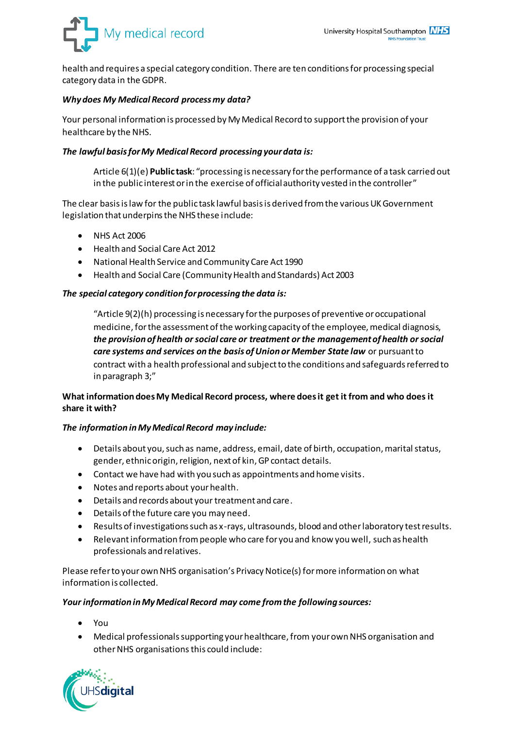

health and requires a special category condition. There are ten conditions for processing special category data in the GDPR.

# *Why does My Medical Record process my data?*

Your personal information is processed by My Medical Record to support the provision of your healthcare by the NHS.

## *The lawful basis for My Medical Record processing your data is:*

Article 6(1)(e) **Public task**: "processing is necessary for the performance of a task carried out in the public interest or in the exercise of official authority vested in the controller"

The clear basis is law for the public task lawful basis is derived from the various UK Government legislation that underpins the NHS these include:

- NHS Act 2006
- Health and Social Care Act 2012
- National Health Service and Community Care Act 1990
- Health and Social Care (Community Health and Standards) Act 2003

## *The special category condition for processing the data is:*

"Article 9(2)(h) processing is necessary for the purposes of preventive or occupational medicine, for the assessment of the working capacity of the employee, medical diagnosis, *the provision of health or social care or treatment or the management of health or social care systems and services on the basis of Union or Member State law* or pursuant to contract with a health professional and subject to the conditions and safeguards referred to in paragraph 3;"

# **What information does My Medical Record process, where does it get it from and who does it share it with?**

### *The information in My Medical Record may include:*

- Details about you, such as name, address, email, date of birth, occupation, marital status, gender, ethnic origin, religion, next of kin, GP contact details.
- Contact we have had with you such as appointments and home visits.
- Notes and reports about your health.
- Details and records about your treatment and care.
- Details of the future care you may need.
- Results of investigations such as x-rays, ultrasounds, blood and other laboratory test results.
- Relevant information from people who care for you and know you well, such as health professionals and relatives.

Please refer to your own NHS organisation's Privacy Notice(s) for more information on what information is collected.

### *Your information in My Medical Record may come from the following sources:*

- You
- Medical professionals supporting your healthcare, from your own NHS organisation and other NHS organisations this could include:

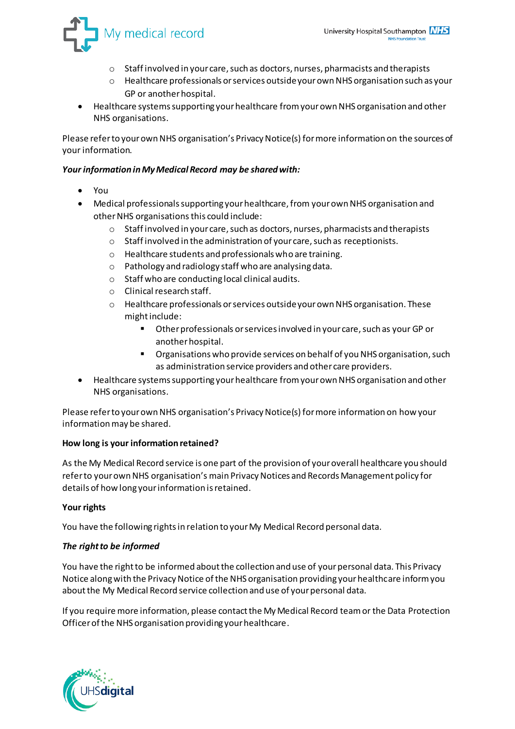

- o Staff involved in your care, such as doctors, nurses, pharmacists and therapists
- o Healthcare professionals or services outside your own NHS organisation such as your GP or another hospital.
- Healthcare systems supporting your healthcare from your own NHS organisation and other NHS organisations.

Please refer to your own NHS organisation's Privacy Notice(s) for more information on the sources of your information.

# *Your information in My Medical Record may be shared with:*

- You
- Medical professionals supporting your healthcare, from your own NHS organisation and other NHS organisations this could include:
	- $\circ$  Staff involved in your care, such as doctors, nurses, pharmacists and therapists
	- o Staff involved in the administration of your care, such as receptionists.
	- o Healthcare students and professionals who are training.
	- o Pathology and radiology staff who are analysing data.
	- o Staff who are conducting local clinical audits.
	- o Clinical research staff.
	- o Healthcare professionals or services outside your own NHS organisation. These might include:
		- Other professionals or services involved in your care, such as your GP or another hospital.
		- **•** Organisations who provide services on behalf of you NHS organisation, such as administration service providers and other care providers.
- Healthcare systems supporting your healthcare from your own NHS organisation and other NHS organisations.

Please refer to your own NHS organisation's Privacy Notice(s) for more information on how your information may be shared.

# **How long is your information retained?**

As the My Medical Record service is one part of the provision of your overall healthcare you should refer to your own NHS organisation's main Privacy Notices and Records Management policy for details of how long your information is retained.

# **Your rights**

You have the following rights in relation to your My Medical Record personal data.

# *The right to be informed*

You have the right to be informed about the collection and use of your personal data. This Privacy Notice along with the Privacy Notice of the NHS organisation providing your healthcare inform you about the My Medical Record service collection and use of your personal data.

If you require more information, please contact the My Medical Record team or the Data Protection Officer of the NHS organisation providing your healthcare.

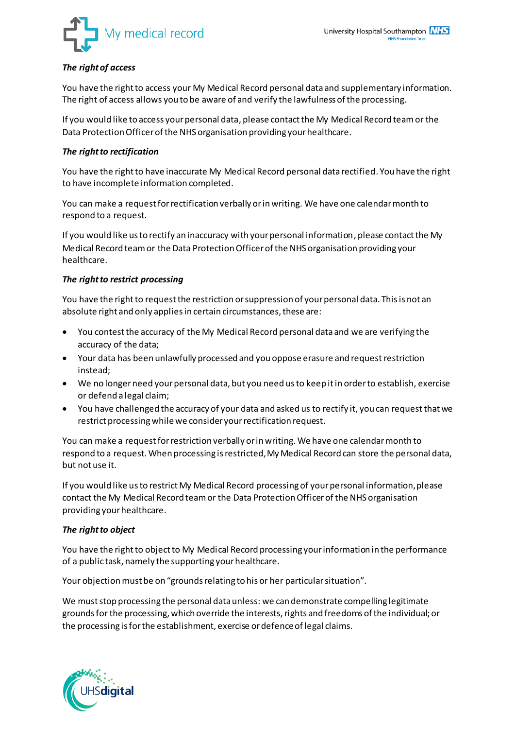

# *The right of access*

You have the right to access your My Medical Record personal data and supplementary information. The right of access allows you to be aware of and verify the lawfulness of the processing.

If you would like to access your personal data, please contact the My Medical Record team or the Data Protection Officer of the NHS organisation providing your healthcare.

## *The right to rectification*

You have the right to have inaccurate My Medical Record personal data rectified. You have the right to have incomplete information completed.

You can make a request for rectification verbally or in writing. We have one calendar month to respond to a request.

If you would like us to rectify an inaccuracy with your personal information, please contact the My Medical Record team or the Data Protection Officer of the NHS organisation providing your healthcare.

## *The right to restrict processing*

You have the right to request the restriction or suppression of your personal data. This is not an absolute right and only applies in certain circumstances, these are:

- You contest the accuracy of the My Medical Record personal data and we are verifying the accuracy of the data;
- Your data has been unlawfully processed and you oppose erasure and request restriction instead;
- We no longer need your personal data, but you need us to keep it in order to establish, exercise or defend a legal claim;
- You have challenged the accuracy of your data and asked us to rectify it, you can request that we restrict processing while we consider your rectification request.

You can make a request for restriction verbally or in writing. We have one calendar month to respond to a request. When processing is restricted, My Medical Record can store the personal data, but not use it.

If you would like us to restrict My Medical Record processing of your personal information, please contact the My Medical Record team or the Data Protection Officer of the NHS organisation providing your healthcare.

### *The right to object*

You have the right to object to My Medical Record processing your information in the performance of a public task, namely the supporting your healthcare.

Your objection must be on "grounds relating to his or her particular situation".

We must stop processing the personal data unless: we can demonstrate compelling legitimate grounds for the processing, which override the interests, rights and freedoms of the individual; or the processing is for the establishment, exercise or defence of legal claims.